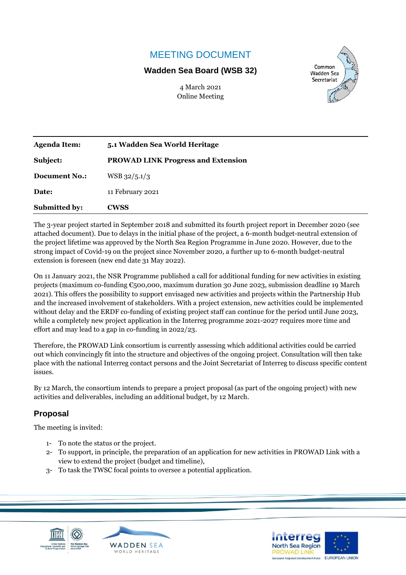# MEETING DOCUMENT

### **Wadden Sea Board (WSB 32)**

4 March 2021 Online Meeting



| <b>Submitted by:</b> | <b>CWSS</b>                               |
|----------------------|-------------------------------------------|
| Date:                | 11 February 2021                          |
| <b>Document No.:</b> | $WSB\,32/5.1/3$                           |
| Subject:             | <b>PROWAD LINK Progress and Extension</b> |
| <b>Agenda Item:</b>  | 5.1 Wadden Sea World Heritage             |

The 3-year project started in September 2018 and submitted its fourth project report in December 2020 (see attached document). Due to delays in the initial phase of the project, a 6-month budget-neutral extension of the project lifetime was approved by the North Sea Region Programme in June 2020. However, due to the strong impact of Covid-19 on the project since November 2020, a further up to 6-month budget-neutral extension is foreseen (new end date 31 May 2022).

On 11 January 2021, the NSR Programme published a call for additional funding for new activities in existing projects (maximum co-funding €500,000, maximum duration 30 June 2023, submission deadline 19 March 2021). This offers the possibility to support envisaged new activities and projects within the Partnership Hub and the increased involvement of stakeholders. With a project extension, new activities could be implemented without delay and the ERDF co-funding of existing project staff can continue for the period until June 2023, while a completely new project application in the Interreg programme 2021-2027 requires more time and effort and may lead to a gap in co-funding in 2022/23.

Therefore, the PROWAD Link consortium is currently assessing which additional activities could be carried out which convincingly fit into the structure and objectives of the ongoing project. Consultation will then take place with the national Interreg contact persons and the Joint Secretariat of Interreg to discuss specific content issues.

By 12 March, the consortium intends to prepare a project proposal (as part of the ongoing project) with new activities and deliverables, including an additional budget, by 12 March.

## **Proposal**

The meeting is invited:

- 1- To note the status or the project.
- 2- To support, in principle, the preparation of an application for new activities in PROWAD Link with a view to extend the project (budget and timeline),
- 3- To task the TWSC focal points to oversee a potential application.





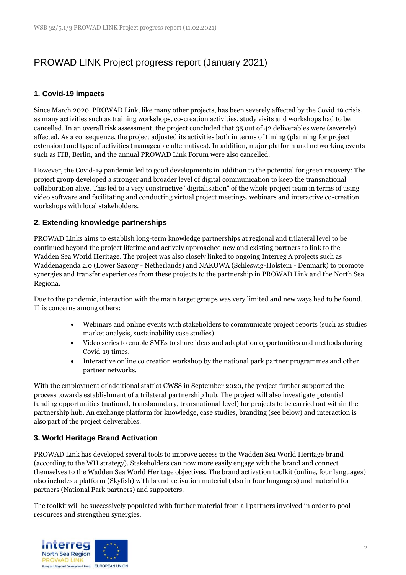# PROWAD LINK Project progress report (January 2021)

#### **1. Covid-19 impacts**

Since March 2020, PROWAD Link, like many other projects, has been severely affected by the Covid 19 crisis, as many activities such as training workshops, co-creation activities, study visits and workshops had to be cancelled. In an overall risk assessment, the project concluded that 35 out of 42 deliverables were (severely) affected. As a consequence, the project adjusted its activities both in terms of timing (planning for project extension) and type of activities (manageable alternatives). In addition, major platform and networking events such as ITB, Berlin, and the annual PROWAD Link Forum were also cancelled.

However, the Covid-19 pandemic led to good developments in addition to the potential for green recovery: The project group developed a stronger and broader level of digital communication to keep the transnational collaboration alive. This led to a very constructive "digitalisation" of the whole project team in terms of using video software and facilitating and conducting virtual project meetings, webinars and interactive co-creation workshops with local stakeholders.

#### **2. Extending knowledge partnerships**

PROWAD Links aims to establish long-term knowledge partnerships at regional and trilateral level to be continued beyond the project lifetime and actively approached new and existing partners to link to the Wadden Sea World Heritage. The project was also closely linked to ongoing Interreg A projects such as Waddenagenda 2.0 (Lower Saxony - Netherlands) and NAKUWA (Schleswig-Holstein - Denmark) to promote synergies and transfer experiences from these projects to the partnership in PROWAD Link and the North Sea Regiona.

Due to the pandemic, interaction with the main target groups was very limited and new ways had to be found. This concerns among others:

- Webinars and online events with stakeholders to communicate project reports (such as studies market analysis, sustainability case studies)
- Video series to enable SMEs to share ideas and adaptation opportunities and methods during Covid-19 times.
- Interactive online co creation workshop by the national park partner programmes and other partner networks.

With the employment of additional staff at CWSS in September 2020, the project further supported the process towards establishment of a trilateral partnership hub. The project will also investigate potential funding opportunities (national, transboundary, transnational level) for projects to be carried out within the partnership hub. An exchange platform for knowledge, case studies, branding (see below) and interaction is also part of the project deliverables.

#### **3. World Heritage Brand Activation**

PROWAD Link has developed several tools to improve access to the Wadden Sea World Heritage brand (according to the WH strategy). Stakeholders can now more easily engage with the brand and connect themselves to the Wadden Sea World Heritage objectives. The brand activation toolkit (online, four languages) also includes a platform (Skyfish) with brand activation material (also in four languages) and material for partners (National Park partners) and supporters.

The toolkit will be successively populated with further material from all partners involved in order to pool resources and strengthen synergies.